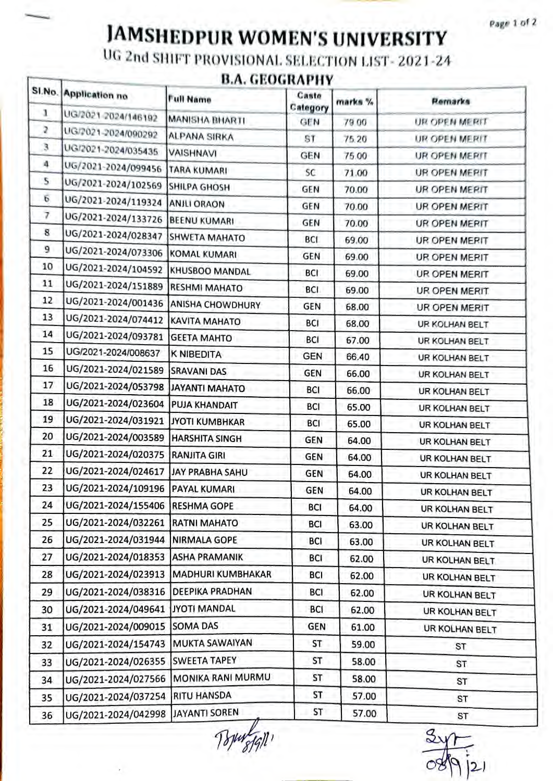Page 1 of 2

## **JAMSHEDPUR WOMEN'S UNIVERSITY**

UG 2nd SHIFT PROVISIONAL SELECTION LIST-2021-24

## **B.A. GEOGRAPHY**

|    | SI.No. Application no                | <b>Full Name</b>         | Caste<br>Category | marks % | Remarks              |
|----|--------------------------------------|--------------------------|-------------------|---------|----------------------|
| ı  | UG/2021-2024/146192                  | MANISHA BHARTI           | <b>GEN</b>        | 79.00   | UR OPEN MERIT        |
| z  | UG/2021-2024/090292                  | <b>ALPANA SIRKA</b>      | ST                | 75.20   | UR OPEN MERIT        |
| 3. | UG/2021-2024/035435                  | <b>VAISHNAVI</b>         | <b>GEN</b>        | 75.00   | UR OPEN MERIT        |
| 4. | UG/2021-2024/099456                  | TARA KUMARI              | SC.               | 71.00   | UR OPEN MERIT        |
| 5  | UG/2021-2024/102569                  | <b>SHILPA GHOSH</b>      | GEN               | 70.00   | UR OPEN MERIT        |
| 6  | UG/2021-2024/119324                  | <b>ANJLI ORAON</b>       | GEN               | 70.00   | <b>UR OPEN MERIT</b> |
| 7  | UG/2021-2024/133726                  | <b>BEENU KUMARI</b>      | GEN               | 70.00   | UR OPEN MERIT        |
| 8  | UG/2021-2024/028347                  | <b>SHWETA MAHATO</b>     | <b>BCI</b>        | 69.00   | UR OPEN MERIT        |
| 9  | UG/2021-2024/073306 KOMAL KUMARI     |                          | <b>GEN</b>        | 69.00   | <b>UR OPEN MERIT</b> |
| 10 | UG/2021-2024/104592                  | KHUSBOO MANDAL           | BCI               | 69.00   | UR OPEN MERIT        |
| 11 | UG/2021-2024/151889                  | <b>RESHMI MAHATO</b>     | BCI               | 69.00   | UR OPEN MERIT        |
| 12 | UG/2021-2024/001436 ANISHA CHOWDHURY |                          | GEN               | 68.00   | UR OPEN MERIT        |
| 13 | UG/2021-2024/074412                  | KAVITA MAHATO            | BCI               | 68.00   | UR KOLHAN BELT       |
| 14 | UG/2021-2024/093781                  | <b>GEETA MAHTO</b>       | BCI               | 67.00   | UR KOLHAN BELT       |
| 15 | UG/2021-2024/008637                  | K NIBEDITA               | <b>GEN</b>        | 66.40   | UR KOLHAN BELT       |
| 16 | UG/2021-2024/021589                  | <b>SRAVANI DAS</b>       | <b>GEN</b>        | 66.00   | UR KOLHAN BELT       |
| 17 | UG/2021-2024/053798 JJAYANTI MAHATO  |                          | BCI               | 66.00   | UR KOLHAN BELT       |
| 18 | UG/2021-2024/023604 PUJA KHANDAIT    |                          | BCI               | 65.00   | UR KOLHAN BELT       |
| 19 | UG/2021-2024/031921                  | <b>JYOTI KUMBHKAR</b>    | BCI               | 65.00   | UR KOLHAN BELT       |
| 20 | UG/2021-2024/003589                  | <b>HARSHITA SINGH</b>    | <b>GEN</b>        | 64.00   | UR KOLHAN BELT       |
| 21 | UG/2021-2024/020375                  | <b>RANJITA GIRI</b>      | <b>GEN</b>        | 64.00   | UR KOLHAN BELT.      |
| 22 | UG/2021-2024/024617                  | JAY PRABHA SAHU          | <b>GEN</b>        | 64.00   | UR KOLHAN BELT       |
| 23 | UG/2021-2024/109196                  | <b>PAYAL KUMARI</b>      | GEN               | 64.00   | UR KOLHAN BELT       |
| 24 | UG/2021-2024/155406 RESHMA GOPE      |                          | <b>BCI</b>        | 64.00   | UR KOLHAN BELT       |
| 25 | UG/2021-2024/032261                  | <b>RATNI MAHATO</b>      | BCI               | 63.00   | UR KOLHAN BELT       |
| 26 | UG/2021-2024/031944                  | <b>NIRMALA GOPE</b>      | BCI               | 63.00   | UR KOLHAN BELT       |
| 27 | UG/2021-2024/018353                  | <b>ASHA PRAMANIK</b>     | BCI               | 62.00   | UR KOLHAN BELT       |
| 28 | UG/2021-2024/023913                  | <b>MADHURI KUMBHAKAR</b> | BCI               | 62.00   | UR KOLHAN BELT       |
| 29 | UG/2021-2024/038316                  | <b>DEEPIKA PRADHAN</b>   | BCI               | 62.00   | UR KOLHAN BELT       |
| 30 | UG/2021-2024/049641                  | JYOTI MANDAL             | BCI               | 62.00   | UR KOLHAN BELT       |
| 31 | UG/2021-2024/009015 SOMA DAS         |                          | <b>GEN</b>        | 61.00   | UR KOLHAN BELT       |
| 32 | UG/2021-2024/154743                  | <b>MUKTA SAWAIYAN</b>    | ST                | 59.00   | ST                   |
| 33 | UG/2021-2024/026355                  | <b>SWEETA TAPEY</b>      | ST                | 58.00   | ST                   |
| 34 | UG/2021-2024/027566                  | MONIKA RANI MURMU        | ST                | 58.00   | ST                   |
| 35 | UG/2021-2024/037254                  | <b>RITU HANSDA</b>       | ST                | 57.00   | ST                   |
| 36 | UG/2021-2024/042998                  | JAYANTI SOREN            | ST                | 57.00   | ST                   |

 $\bar{q}$ 

S  $|2|$